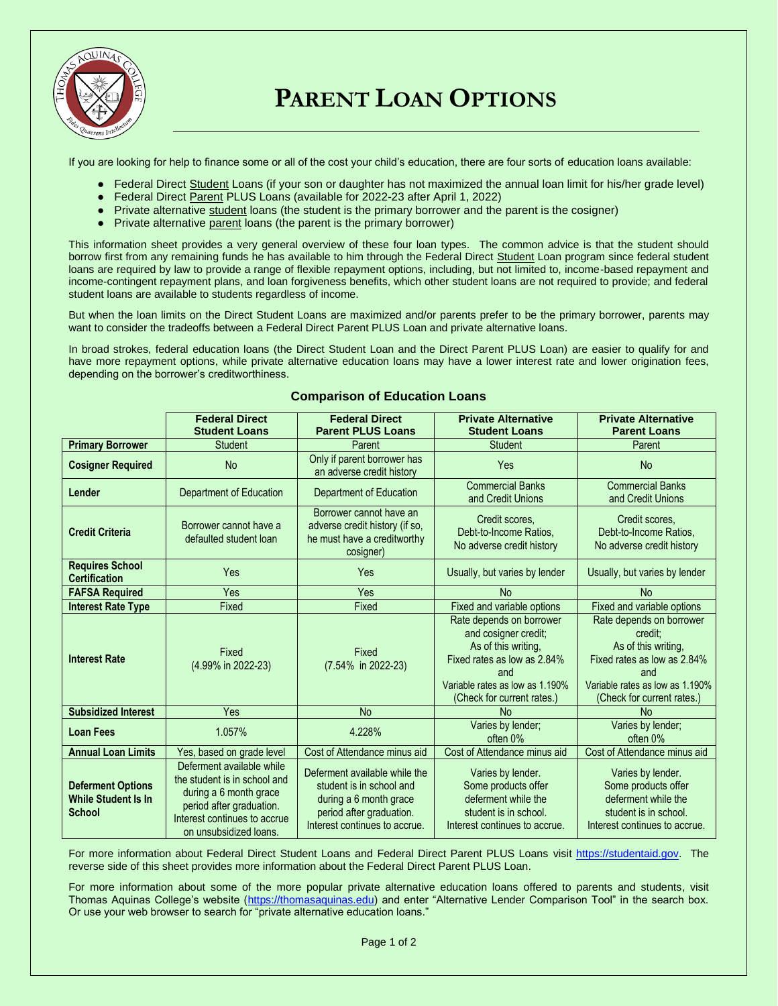

# **PARENT LOAN OPTIONS**

If you are looking for help to finance some or all of the cost your child's education, there are four sorts of education loans available:

- Federal Direct Student Loans (if your son or daughter has not maximized the annual loan limit for his/her grade level)
- Federal Direct Parent PLUS Loans (available for 2022-23 after April 1, 2022)
- Private alternative student loans (the student is the primary borrower and the parent is the cosigner)
- Private alternative parent loans (the parent is the primary borrower)

This information sheet provides a very general overview of these four loan types. The common advice is that the student should borrow first from any remaining funds he has available to him through the Federal Direct Student Loan program since federal student loans are required by law to provide a range of flexible repayment options, including, but not limited to, income-based repayment and income-contingent repayment plans, and loan forgiveness benefits, which other student loans are not required to provide; and federal student loans are available to students regardless of income.

But when the loan limits on the Direct Student Loans are maximized and/or parents prefer to be the primary borrower, parents may want to consider the tradeoffs between a Federal Direct Parent PLUS Loan and private alternative loans.

In broad strokes, federal education loans (the Direct Student Loan and the Direct Parent PLUS Loan) are easier to qualify for and have more repayment options, while private alternative education loans may have a lower interest rate and lower origination fees, depending on the borrower's creditworthiness.

|                                                                         | <b>Federal Direct</b><br><b>Student Loans</b>                                                                                                                             | <b>Federal Direct</b><br><b>Parent PLUS Loans</b>                                                                                                | <b>Private Alternative</b><br><b>Student Loans</b>                                                                                                                             | <b>Private Alternative</b><br><b>Parent Loans</b>                                                                                                                 |
|-------------------------------------------------------------------------|---------------------------------------------------------------------------------------------------------------------------------------------------------------------------|--------------------------------------------------------------------------------------------------------------------------------------------------|--------------------------------------------------------------------------------------------------------------------------------------------------------------------------------|-------------------------------------------------------------------------------------------------------------------------------------------------------------------|
| <b>Primary Borrower</b>                                                 | <b>Student</b>                                                                                                                                                            | Parent                                                                                                                                           | <b>Student</b>                                                                                                                                                                 | Parent                                                                                                                                                            |
| <b>Cosigner Required</b>                                                | <b>No</b>                                                                                                                                                                 | Only if parent borrower has<br>an adverse credit history                                                                                         | Yes                                                                                                                                                                            | <b>No</b>                                                                                                                                                         |
| Lender                                                                  | Department of Education                                                                                                                                                   | Department of Education                                                                                                                          | <b>Commercial Banks</b><br>and Credit Unions                                                                                                                                   | <b>Commercial Banks</b><br>and Credit Unions                                                                                                                      |
| <b>Credit Criteria</b>                                                  | Borrower cannot have a<br>defaulted student loan                                                                                                                          | Borrower cannot have an<br>adverse credit history (if so,<br>he must have a creditworthy<br>cosigner)                                            | Credit scores,<br>Debt-to-Income Ratios.<br>No adverse credit history                                                                                                          | Credit scores,<br>Debt-to-Income Ratios.<br>No adverse credit history                                                                                             |
| <b>Requires School</b><br><b>Certification</b>                          | Yes                                                                                                                                                                       | Yes                                                                                                                                              | Usually, but varies by lender                                                                                                                                                  | Usually, but varies by lender                                                                                                                                     |
| <b>FAFSA Required</b>                                                   | Yes                                                                                                                                                                       | Yes                                                                                                                                              | <b>No</b>                                                                                                                                                                      | <b>No</b>                                                                                                                                                         |
| <b>Interest Rate Type</b>                                               | Fixed                                                                                                                                                                     | Fixed                                                                                                                                            | Fixed and variable options                                                                                                                                                     | Fixed and variable options                                                                                                                                        |
| <b>Interest Rate</b>                                                    | Fixed<br>(4.99% in 2022-23)                                                                                                                                               | Fixed<br>(7.54% in 2022-23)                                                                                                                      | Rate depends on borrower<br>and cosigner credit;<br>As of this writing.<br>Fixed rates as low as 2.84%<br>and<br>Variable rates as low as 1.190%<br>(Check for current rates.) | Rate depends on borrower<br>credit:<br>As of this writing.<br>Fixed rates as low as 2.84%<br>and<br>Variable rates as low as 1.190%<br>(Check for current rates.) |
| <b>Subsidized Interest</b>                                              | Yes                                                                                                                                                                       | <b>No</b>                                                                                                                                        | <b>No</b>                                                                                                                                                                      | N <sub>0</sub>                                                                                                                                                    |
| <b>Loan Fees</b>                                                        | 1.057%                                                                                                                                                                    | 4.228%                                                                                                                                           | Varies by lender;<br>often 0%                                                                                                                                                  | Varies by lender;<br>often 0%                                                                                                                                     |
| <b>Annual Loan Limits</b>                                               | Yes, based on grade level                                                                                                                                                 | Cost of Attendance minus aid                                                                                                                     | Cost of Attendance minus aid                                                                                                                                                   | Cost of Attendance minus aid                                                                                                                                      |
| <b>Deferment Options</b><br><b>While Student Is In</b><br><b>School</b> | Deferment available while<br>the student is in school and<br>during a 6 month grace<br>period after graduation.<br>Interest continues to accrue<br>on unsubsidized loans. | Deferment available while the<br>student is in school and<br>during a 6 month grace<br>period after graduation.<br>Interest continues to accrue. | Varies by lender.<br>Some products offer<br>deferment while the<br>student is in school.<br>Interest continues to accrue.                                                      | Varies by lender.<br>Some products offer<br>deferment while the<br>student is in school.<br>Interest continues to accrue.                                         |

# **Comparison of Education Loans**

For more information about Federal Direct Student Loans and Federal Direct Parent PLUS Loans visit [https://studentaid.gov.](https://studentaid.gov/) The reverse side of this sheet provides more information about the Federal Direct Parent PLUS Loan.

For more information about some of the more popular private alternative education loans offered to parents and students, visit Thomas Aquinas College's website [\(https://thomasaquinas.edu\)](https://thomasaquinas.edu/) and enter "Alternative Lender Comparison Tool" in the search box. Or use your web browser to search for "private alternative education loans."